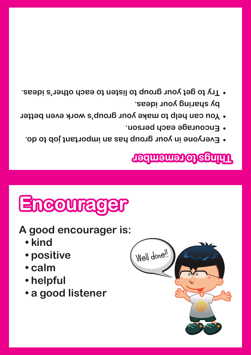- **by sharing your ideas. Try to get your group to listen to each other's ideas. •**
- **Vou can help to make your group's work even better** 
	- **Encourage each person. •**
	- **Everyone in your group has an important job to do. •**

#### **Things to remember**

## **Encourager**

**A good encourager is:**

- **• kind**
- **• positive**
- **• calm**
- **• helpful**
- **• a good listener**

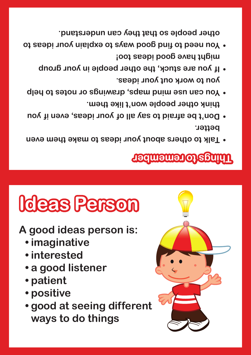- **• good at seeing different ways to do things**
- **• patient • positive**
- 
- **• a good listener**
- 
- **• imaginative • interested**
- **A good ideas person is:**
	-
- 

# **Ideas Person**

#### **Things to remember**

**you to work out your ideas.** 

- **Talk to others about your ideas to make them even • better.**
- **think other people won't like them. You can use mind maps, drawings or notes to help •**

**Don't be afraid to say all of your ideas, even if you •**

**If you are stuck, the other people in your group • might have good ideas too! You need to find good ways to explain your ideas to •**

**other people so that they can understand.**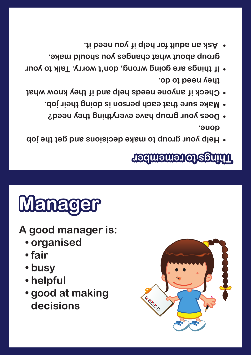

- **• helpful**
- 
- **• fair • busy**
- **• organised**
- 

### **A good manager is:**

## **Manager**

#### **Things to remember**

- **Help your group to make decisions and get the job •**
- **done. Does your group have everything they need? •**

**BRADO** 

- **Make sure that each person is doing their job. •**
- **Check if anyone needs help and if they know what •**
- **they need to do.**

**If things are going wrong, don't worry. Talk to your •**

**group about what changes you should make.**

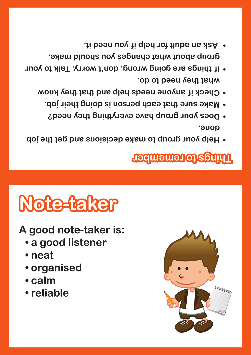

- **• organised**
- 
- **• neat**
- **• a good listener**
- 
- **A good note-taker is:**

## **Note-taker**

#### **Things to remember**

**what they need to do.** 

**done.**

- **Help your group to make decisions and get the job •**
- **Does your group have everything they need? • Make sure that each person is doing their job. •**
- 
- **Check if anyone needs help and that they know •**
- 
- 
- **If things are going wrong, don't worry. Talk to your • group about what changes you should make.**
- **Ask an adult for help if you need it. •**

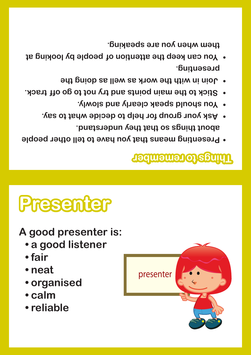

- **• neat • organised**
- **• fair**
- **• a good listener**
- 
- **A good presenter is:**
- 

**Presenter**

#### **Things to remember**

- **Presenting means that you have to tell other people •**
- **about things so that they understand. Ask your group for help to decide what to say. •**
- **You should speak clearly and slowly. •**

presenter

- **Stick to the main points and try not to go off track. •**
- **Join in with the work as well as doing the • presenting.**
- **You can keep the attention of people by looking at •**

**them when you are speaking.**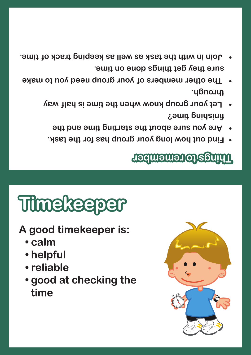- **sure they get things done on time. Join in with the task as well as keeping track of time. •**
- **through. • The other members of your group need you to make** 
	- **finishing time? Let your group know when the time is half way** 
		- **Are you sure about the starting time and the •**
		- **Find out how long your group has for the task. •**

#### **Things to remember**

## **Timekeeper**

- **A good timekeeper is:**
	- **• calm**
	- **• helpful**
	- **• reliable**
	- **• good at checking the time**